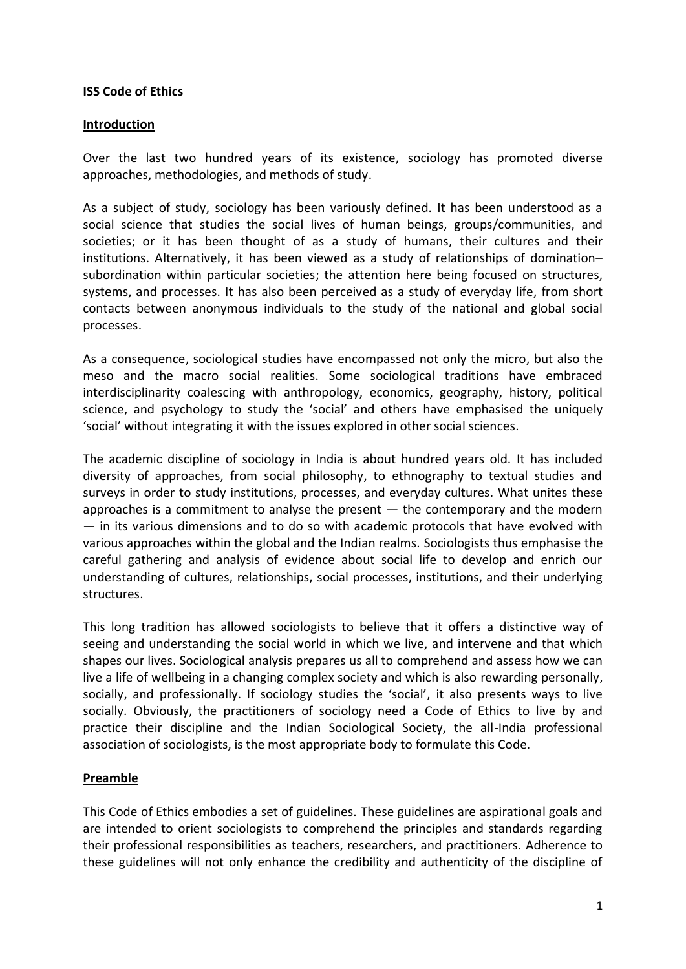## **ISS Code of Ethics**

## **Introduction**

Over the last two hundred years of its existence, sociology has promoted diverse approaches, methodologies, and methods of study.

As a subject of study, sociology has been variously defined. It has been understood as a social science that studies the social lives of human beings, groups/communities, and societies; or it has been thought of as a study of humans, their cultures and their institutions. Alternatively, it has been viewed as a study of relationships of domination– subordination within particular societies; the attention here being focused on structures, systems, and processes. It has also been perceived as a study of everyday life, from short contacts between anonymous individuals to the study of the national and global social processes.

As a consequence, sociological studies have encompassed not only the micro, but also the meso and the macro social realities. Some sociological traditions have embraced interdisciplinarity coalescing with anthropology, economics, geography, history, political science, and psychology to study the 'social' and others have emphasised the uniquely 'social' without integrating it with the issues explored in other social sciences.

The academic discipline of sociology in India is about hundred years old. It has included diversity of approaches, from social philosophy, to ethnography to textual studies and surveys in order to study institutions, processes, and everyday cultures. What unites these approaches is a commitment to analyse the present  $-$  the contemporary and the modern — in its various dimensions and to do so with academic protocols that have evolved with various approaches within the global and the Indian realms. Sociologists thus emphasise the careful gathering and analysis of evidence about social life to develop and enrich our understanding of cultures, relationships, social processes, institutions, and their underlying structures.

This long tradition has allowed sociologists to believe that it offers a distinctive way of seeing and understanding the social world in which we live, and intervene and that which shapes our lives. Sociological analysis prepares us all to comprehend and assess how we can live a life of wellbeing in a changing complex society and which is also rewarding personally, socially, and professionally. If sociology studies the 'social', it also presents ways to live socially. Obviously, the practitioners of sociology need a Code of Ethics to live by and practice their discipline and the Indian Sociological Society, the all-India professional association of sociologists, is the most appropriate body to formulate this Code.

# **Preamble**

This Code of Ethics embodies a set of guidelines. These guidelines are aspirational goals and are intended to orient sociologists to comprehend the principles and standards regarding their professional responsibilities as teachers, researchers, and practitioners. Adherence to these guidelines will not only enhance the credibility and authenticity of the discipline of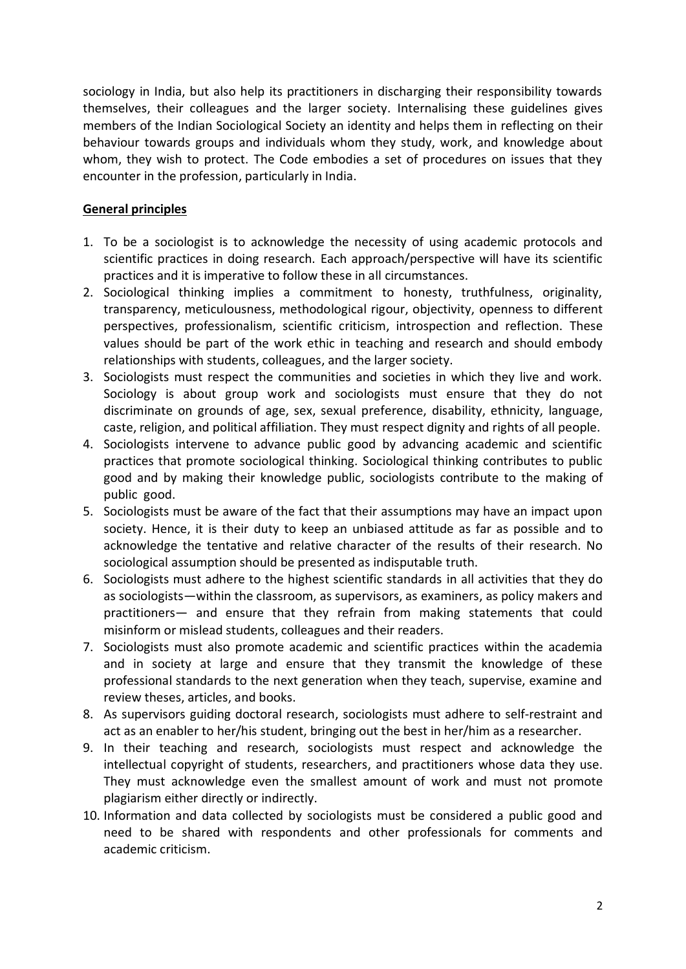sociology in India, but also help its practitioners in discharging their responsibility towards themselves, their colleagues and the larger society. Internalising these guidelines gives members of the Indian Sociological Society an identity and helps them in reflecting on their behaviour towards groups and individuals whom they study, work, and knowledge about whom, they wish to protect. The Code embodies a set of procedures on issues that they encounter in the profession, particularly in India.

# **General principles**

- 1. To be a sociologist is to acknowledge the necessity of using academic protocols and scientific practices in doing research. Each approach/perspective will have its scientific practices and it is imperative to follow these in all circumstances.
- 2. Sociological thinking implies a commitment to honesty, truthfulness, originality, transparency, meticulousness, methodological rigour, objectivity, openness to different perspectives, professionalism, scientific criticism, introspection and reflection. These values should be part of the work ethic in teaching and research and should embody relationships with students, colleagues, and the larger society.
- 3. Sociologists must respect the communities and societies in which they live and work. Sociology is about group work and sociologists must ensure that they do not discriminate on grounds of age, sex, sexual preference, disability, ethnicity, language, caste, religion, and political affiliation. They must respect dignity and rights of all people.
- 4. Sociologists intervene to advance public good by advancing academic and scientific practices that promote sociological thinking. Sociological thinking contributes to public good and by making their knowledge public, sociologists contribute to the making of public good.
- 5. Sociologists must be aware of the fact that their assumptions may have an impact upon society. Hence, it is their duty to keep an unbiased attitude as far as possible and to acknowledge the tentative and relative character of the results of their research. No sociological assumption should be presented as indisputable truth.
- 6. Sociologists must adhere to the highest scientific standards in all activities that they do as sociologists—within the classroom, as supervisors, as examiners, as policy makers and practitioners— and ensure that they refrain from making statements that could misinform or mislead students, colleagues and their readers.
- 7. Sociologists must also promote academic and scientific practices within the academia and in society at large and ensure that they transmit the knowledge of these professional standards to the next generation when they teach, supervise, examine and review theses, articles, and books.
- 8. As supervisors guiding doctoral research, sociologists must adhere to self-restraint and act as an enabler to her/his student, bringing out the best in her/him as a researcher.
- 9. In their teaching and research, sociologists must respect and acknowledge the intellectual copyright of students, researchers, and practitioners whose data they use. They must acknowledge even the smallest amount of work and must not promote plagiarism either directly or indirectly.
- 10. Information and data collected by sociologists must be considered a public good and need to be shared with respondents and other professionals for comments and academic criticism.